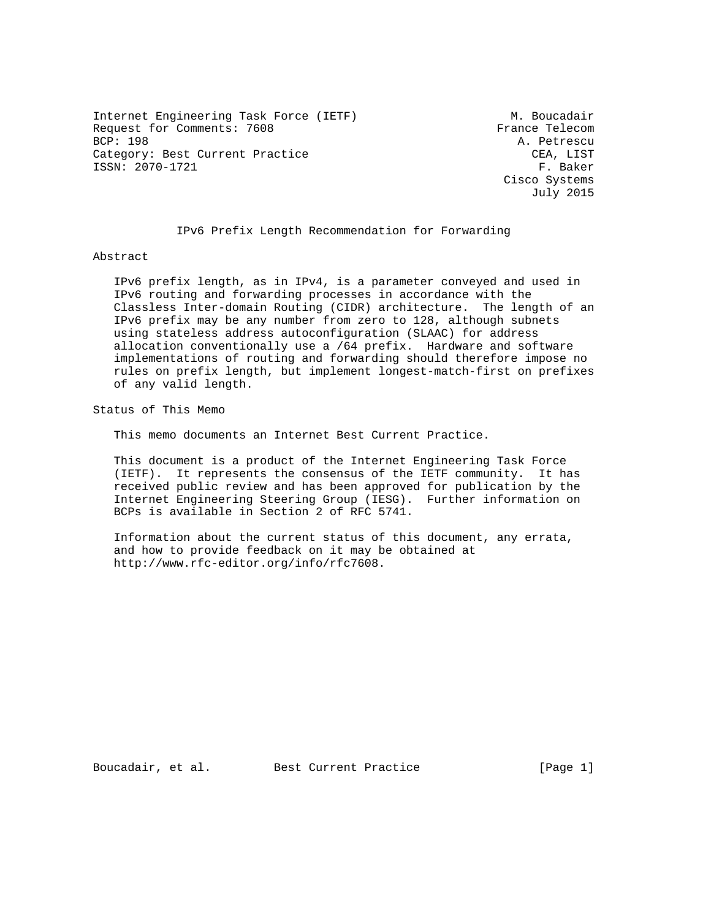Internet Engineering Task Force (IETF) M. Boucadair Request for Comments: 7608 France Telecom<br>BCP: 198 A. Petrescu Category: Best Current Practice CEA, LIST ISSN: 2070-1721 F. Baker

A. Petrescu Cisco Systems July 2015

#### IPv6 Prefix Length Recommendation for Forwarding

#### Abstract

 IPv6 prefix length, as in IPv4, is a parameter conveyed and used in IPv6 routing and forwarding processes in accordance with the Classless Inter-domain Routing (CIDR) architecture. The length of an IPv6 prefix may be any number from zero to 128, although subnets using stateless address autoconfiguration (SLAAC) for address allocation conventionally use a /64 prefix. Hardware and software implementations of routing and forwarding should therefore impose no rules on prefix length, but implement longest-match-first on prefixes of any valid length.

Status of This Memo

This memo documents an Internet Best Current Practice.

 This document is a product of the Internet Engineering Task Force (IETF). It represents the consensus of the IETF community. It has received public review and has been approved for publication by the Internet Engineering Steering Group (IESG). Further information on BCPs is available in Section 2 of RFC 5741.

 Information about the current status of this document, any errata, and how to provide feedback on it may be obtained at http://www.rfc-editor.org/info/rfc7608.

Boucadair, et al. Best Current Practice [Page 1]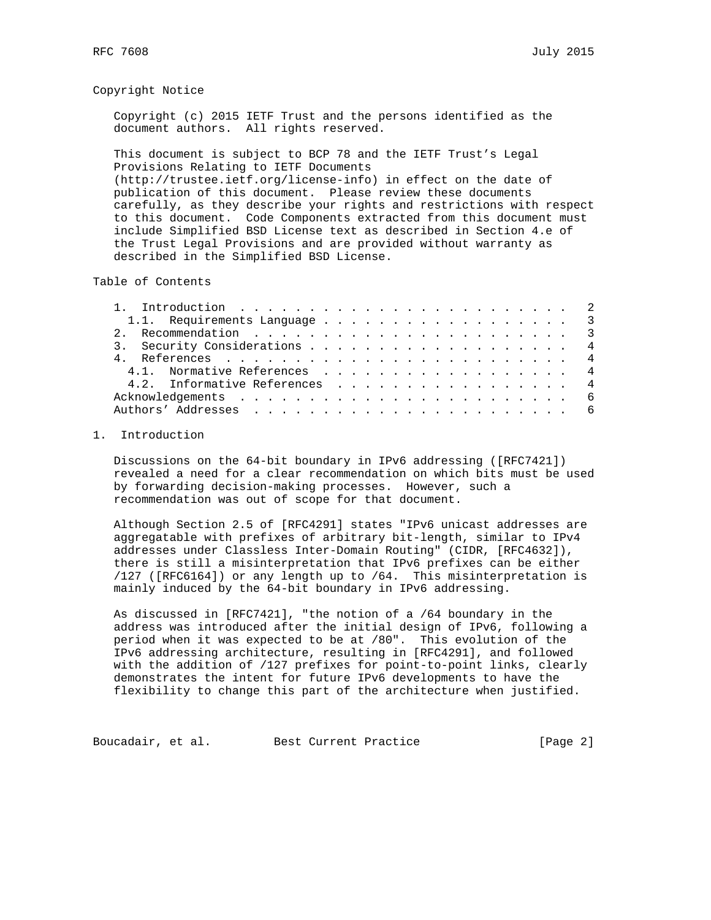## Copyright Notice

 Copyright (c) 2015 IETF Trust and the persons identified as the document authors. All rights reserved.

 This document is subject to BCP 78 and the IETF Trust's Legal Provisions Relating to IETF Documents (http://trustee.ietf.org/license-info) in effect on the date of publication of this document. Please review these documents carefully, as they describe your rights and restrictions with respect to this document. Code Components extracted from this document must include Simplified BSD License text as described in Section 4.e of the Trust Legal Provisions and are provided without warranty as described in the Simplified BSD License.

Table of Contents

| 1.1. Requirements Language 3  |  |
|-------------------------------|--|
|                               |  |
| 3. Security Considerations 4  |  |
|                               |  |
| 4.1. Normative References 4   |  |
| 4.2. Informative References 4 |  |
|                               |  |
|                               |  |
|                               |  |

# 1. Introduction

 Discussions on the 64-bit boundary in IPv6 addressing ([RFC7421]) revealed a need for a clear recommendation on which bits must be used by forwarding decision-making processes. However, such a recommendation was out of scope for that document.

 Although Section 2.5 of [RFC4291] states "IPv6 unicast addresses are aggregatable with prefixes of arbitrary bit-length, similar to IPv4 addresses under Classless Inter-Domain Routing" (CIDR, [RFC4632]), there is still a misinterpretation that IPv6 prefixes can be either /127 ([RFC6164]) or any length up to /64. This misinterpretation is mainly induced by the 64-bit boundary in IPv6 addressing.

 As discussed in [RFC7421], "the notion of a /64 boundary in the address was introduced after the initial design of IPv6, following a period when it was expected to be at /80". This evolution of the IPv6 addressing architecture, resulting in [RFC4291], and followed with the addition of /127 prefixes for point-to-point links, clearly demonstrates the intent for future IPv6 developments to have the flexibility to change this part of the architecture when justified.

Boucadair, et al. Best Current Practice [Page 2]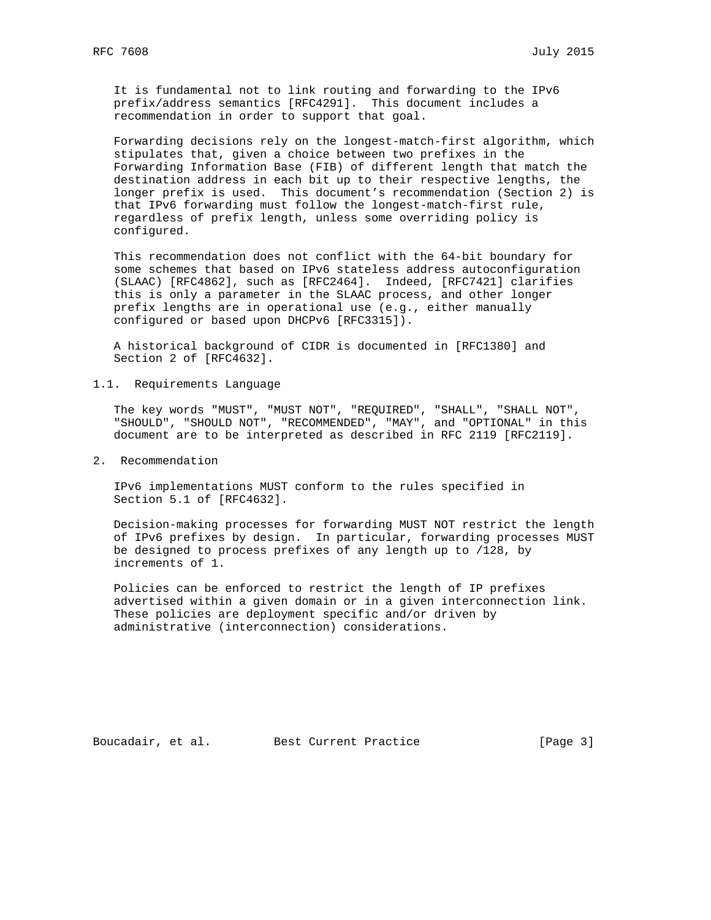It is fundamental not to link routing and forwarding to the IPv6 prefix/address semantics [RFC4291]. This document includes a recommendation in order to support that goal.

 Forwarding decisions rely on the longest-match-first algorithm, which stipulates that, given a choice between two prefixes in the Forwarding Information Base (FIB) of different length that match the destination address in each bit up to their respective lengths, the longer prefix is used. This document's recommendation (Section 2) is that IPv6 forwarding must follow the longest-match-first rule, regardless of prefix length, unless some overriding policy is configured.

 This recommendation does not conflict with the 64-bit boundary for some schemes that based on IPv6 stateless address autoconfiguration (SLAAC) [RFC4862], such as [RFC2464]. Indeed, [RFC7421] clarifies this is only a parameter in the SLAAC process, and other longer prefix lengths are in operational use (e.g., either manually configured or based upon DHCPv6 [RFC3315]).

 A historical background of CIDR is documented in [RFC1380] and Section 2 of [RFC4632].

1.1. Requirements Language

 The key words "MUST", "MUST NOT", "REQUIRED", "SHALL", "SHALL NOT", "SHOULD", "SHOULD NOT", "RECOMMENDED", "MAY", and "OPTIONAL" in this document are to be interpreted as described in RFC 2119 [RFC2119].

2. Recommendation

 IPv6 implementations MUST conform to the rules specified in Section 5.1 of [RFC4632].

 Decision-making processes for forwarding MUST NOT restrict the length of IPv6 prefixes by design. In particular, forwarding processes MUST be designed to process prefixes of any length up to /128, by increments of 1.

 Policies can be enforced to restrict the length of IP prefixes advertised within a given domain or in a given interconnection link. These policies are deployment specific and/or driven by administrative (interconnection) considerations.

Boucadair, et al. Best Current Practice [Page 3]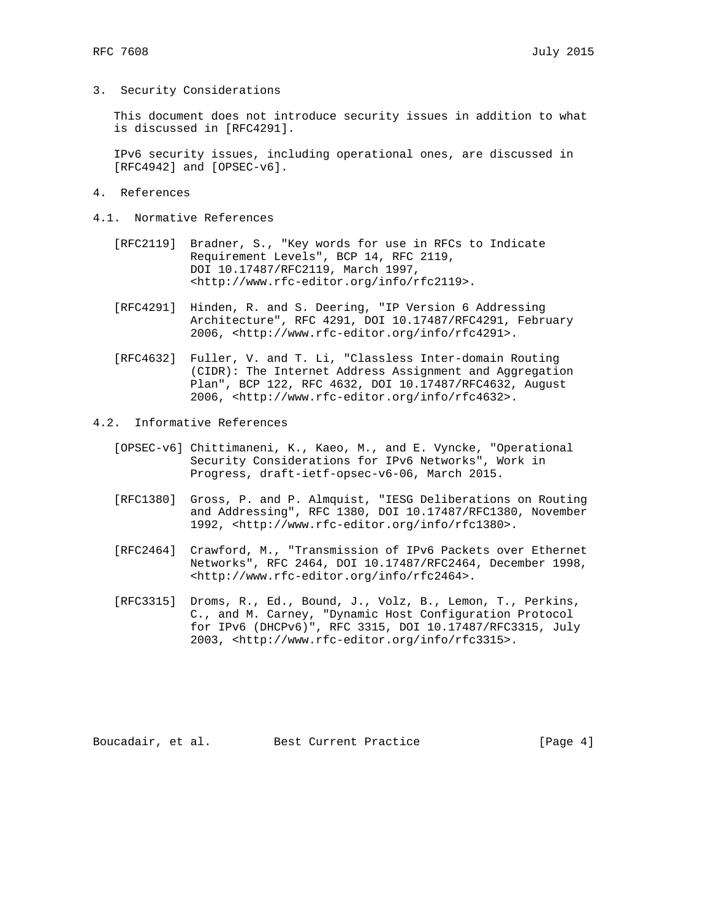3. Security Considerations

 This document does not introduce security issues in addition to what is discussed in [RFC4291].

 IPv6 security issues, including operational ones, are discussed in [RFC4942] and [OPSEC-v6].

- 4. References
- 4.1. Normative References
	- [RFC2119] Bradner, S., "Key words for use in RFCs to Indicate Requirement Levels", BCP 14, RFC 2119, DOI 10.17487/RFC2119, March 1997, <http://www.rfc-editor.org/info/rfc2119>.
	- [RFC4291] Hinden, R. and S. Deering, "IP Version 6 Addressing Architecture", RFC 4291, DOI 10.17487/RFC4291, February 2006, <http://www.rfc-editor.org/info/rfc4291>.
	- [RFC4632] Fuller, V. and T. Li, "Classless Inter-domain Routing (CIDR): The Internet Address Assignment and Aggregation Plan", BCP 122, RFC 4632, DOI 10.17487/RFC4632, August 2006, <http://www.rfc-editor.org/info/rfc4632>.
- 4.2. Informative References
	- [OPSEC-v6] Chittimaneni, K., Kaeo, M., and E. Vyncke, "Operational Security Considerations for IPv6 Networks", Work in Progress, draft-ietf-opsec-v6-06, March 2015.
	- [RFC1380] Gross, P. and P. Almquist, "IESG Deliberations on Routing and Addressing", RFC 1380, DOI 10.17487/RFC1380, November 1992, <http://www.rfc-editor.org/info/rfc1380>.
	- [RFC2464] Crawford, M., "Transmission of IPv6 Packets over Ethernet Networks", RFC 2464, DOI 10.17487/RFC2464, December 1998, <http://www.rfc-editor.org/info/rfc2464>.
	- [RFC3315] Droms, R., Ed., Bound, J., Volz, B., Lemon, T., Perkins, C., and M. Carney, "Dynamic Host Configuration Protocol for IPv6 (DHCPv6)", RFC 3315, DOI 10.17487/RFC3315, July 2003, <http://www.rfc-editor.org/info/rfc3315>.

Boucadair, et al. Best Current Practice [Page 4]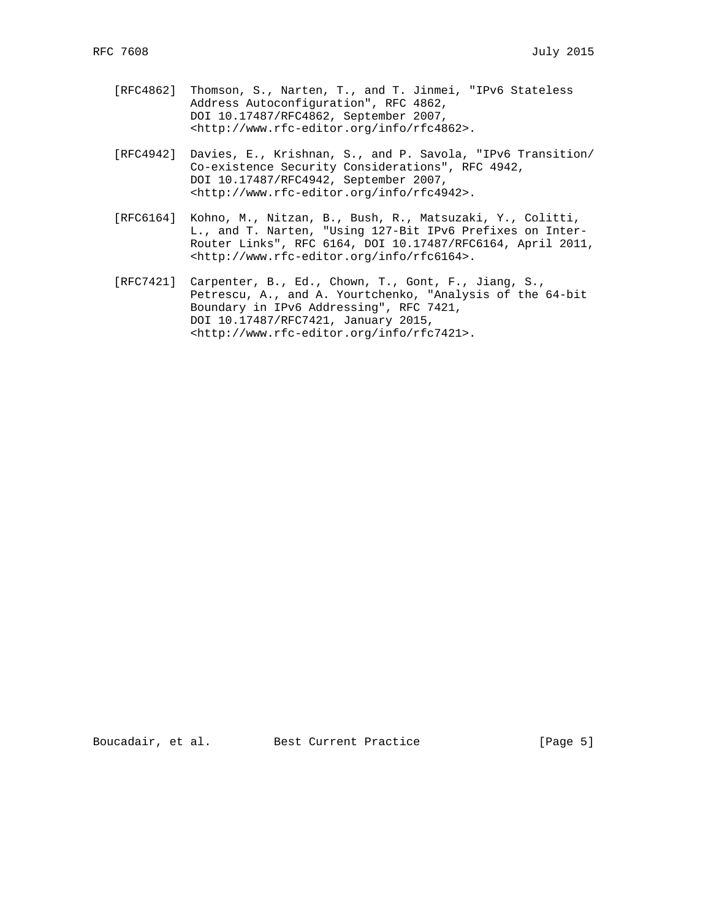- [RFC4862] Thomson, S., Narten, T., and T. Jinmei, "IPv6 Stateless Address Autoconfiguration", RFC 4862, DOI 10.17487/RFC4862, September 2007, <http://www.rfc-editor.org/info/rfc4862>.
- [RFC4942] Davies, E., Krishnan, S., and P. Savola, "IPv6 Transition/ Co-existence Security Considerations", RFC 4942, DOI 10.17487/RFC4942, September 2007, <http://www.rfc-editor.org/info/rfc4942>.
- [RFC6164] Kohno, M., Nitzan, B., Bush, R., Matsuzaki, Y., Colitti, L., and T. Narten, "Using 127-Bit IPv6 Prefixes on Inter- Router Links", RFC 6164, DOI 10.17487/RFC6164, April 2011, <http://www.rfc-editor.org/info/rfc6164>.
- [RFC7421] Carpenter, B., Ed., Chown, T., Gont, F., Jiang, S., Petrescu, A., and A. Yourtchenko, "Analysis of the 64-bit Boundary in IPv6 Addressing", RFC 7421, DOI 10.17487/RFC7421, January 2015, <http://www.rfc-editor.org/info/rfc7421>.

Boucadair, et al. Best Current Practice [Page 5]